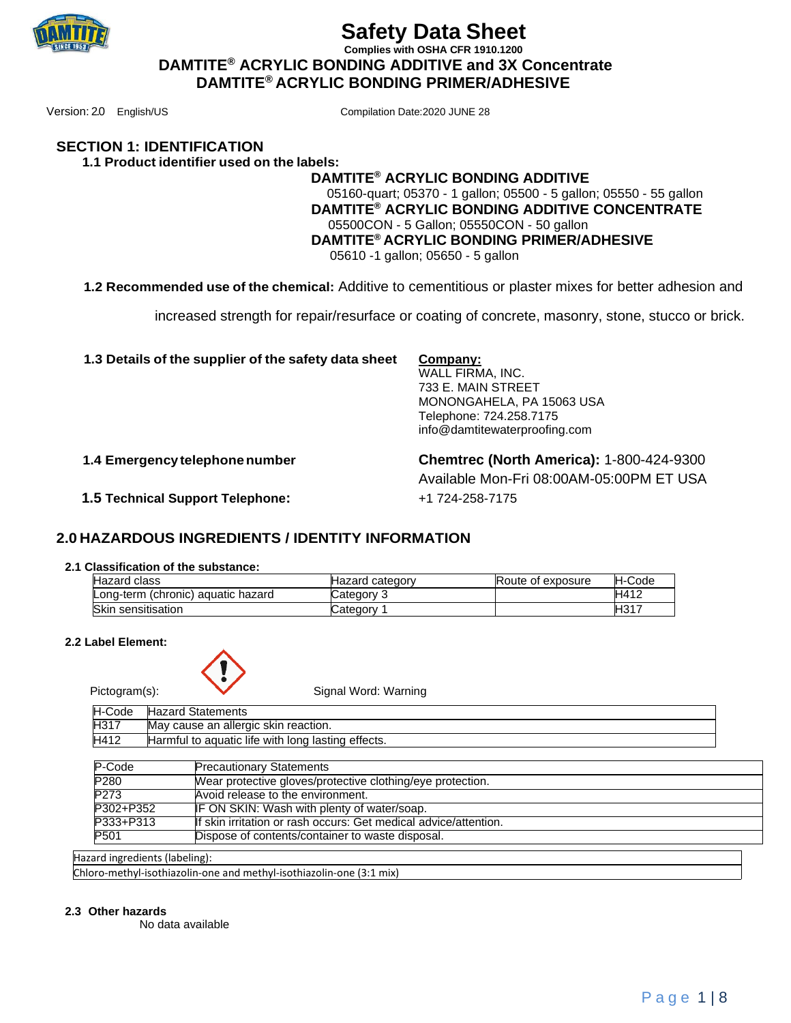

**Complies with OSHA CFR 1910.1200 DAMTITE® ACRYLIC BONDING ADDITIVE and 3X Concentrate DAMTITE® ACRYLIC BONDING PRIMER/ADHESIVE**

Version: 2.0 English/US Compilation Date:2020 JUNE 28

#### **SECTION 1: IDENTIFICATION 1.1 Product identifier used on the labels:**

## **DAMTITE® ACRYLIC BONDING ADDITIVE** 05160-quart; 05370 - 1 gallon; 05500 - 5 gallon; 05550 - 55 gallon  **DAMTITE® ACRYLIC BONDING ADDITIVE CONCENTRATE** 05500CON - 5 Gallon; 05550CON - 50 gallon  **DAMTITE® ACRYLIC BONDING PRIMER/ADHESIVE**  05610 -1 gallon; 05650 - 5 gallon

**1.2 Recommended use of the chemical:** Additive to cementitious or plaster mixes for better adhesion and

increased strength for repair/resurface or coating of concrete, masonry, stone, stucco or brick.

**1.3 Details of the supplier of the safety data sheet Company:**

WALL FIRMA, INC. 733 E. MAIN STREET MONONGAHELA, PA 15063 USA Telephone: 724.258.7175 info@damtitewaterproofing.com

 **1.4 Emergencytelephonenumber Chemtrec (North America):** 1-800-424-9300 Available Mon-Fri 08:00AM-05:00PM ET USA  **1.5 Technical Support Telephone:** +1 724-258-7175

# **2.0 HAZARDOUS INGREDIENTS / IDENTITY INFORMATION**

## **2.1 Classification of the substance:**

| <b>Hazard class</b>                | Hazard category | Route of exposure | H-Code |
|------------------------------------|-----------------|-------------------|--------|
| Long-term (chronic) aquatic hazard | Category 3      |                   | H412   |
| Skin sensitisation                 | Category 1      |                   | H317   |

#### **2.2 Label Element:**



**Pictogram(s):** Signal Word: Warning

| H-Code | <b>Hazard Statements</b>                           |
|--------|----------------------------------------------------|
| H317   | May cause an allergic skin reaction.               |
| H412   | Harmful to aquatic life with long lasting effects. |

| P-Code           | <b>Precautionary Statements</b>                                  |
|------------------|------------------------------------------------------------------|
| P <sub>280</sub> | Wear protective gloves/protective clothing/eye protection.       |
| P <sub>273</sub> | Avoid release to the environment.                                |
| P302+P352        | IF ON SKIN: Wash with plenty of water/soap.                      |
| P333+P313        | If skin irritation or rash occurs: Get medical advice/attention. |
| P501             | Dispose of contents/container to waste disposal.                 |
|                  |                                                                  |

Hazard ingredients (labeling):

Chloro-methyl-isothiazolin-one and methyl-isothiazolin-one (3:1 mix)

#### **2.3 Other hazards**

No data available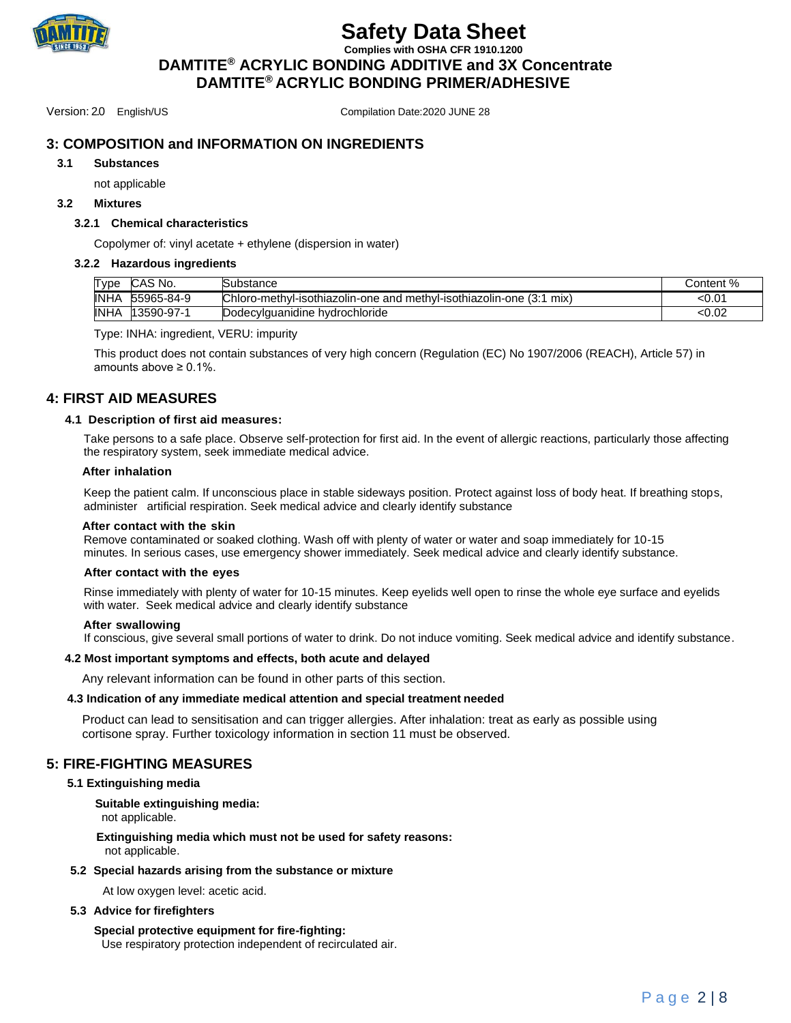

**Complies with OSHA CFR 1910.1200**

 **DAMTITE® ACRYLIC BONDING ADDITIVE and 3X Concentrate DAMTITE® ACRYLIC BONDING PRIMER/ADHESIVE**

Version: 2.0 English/US Compilation Date:2020 JUNE 28

# **3: COMPOSITION and INFORMATION ON INGREDIENTS**

#### **3.1 Substances**

not applicable

#### **3.2 Mixtures**

#### **3.2.1 Chemical characteristics**

Copolymer of: vinyl acetate + ethylene (dispersion in water)

#### **3.2.2 Hazardous ingredients**

| Type        | CAS No.    | oubstance                                                               | Content % |
|-------------|------------|-------------------------------------------------------------------------|-----------|
| <b>INHA</b> | 55965-84-9 | Chloro-methyl-isothiazolin-one and methyl-isothiazolin-one (3:1)<br>mix | <0.01     |
| <b>INHA</b> | 13590-97-1 | Dodecvlauanidine hvdrochloride                                          | < 0.02    |

#### Type: INHA: ingredient, VERU: impurity

This product does not contain substances of very high concern (Regulation (EC) No 1907/2006 (REACH), Article 57) in amounts above ≥ 0.1%.

### **4: FIRST AID MEASURES**

#### **4.1 Description of first aid measures:**

Take persons to a safe place. Observe self-protection for first aid. In the event of allergic reactions, particularly those affecting the respiratory system, seek immediate medical advice.

#### **After inhalation**

Keep the patient calm. If unconscious place in stable sideways position. Protect against loss of body heat. If breathing stops, administer artificial respiration. Seek medical advice and clearly identify substance

#### **After contact with the skin**

Remove contaminated or soaked clothing. Wash off with plenty of water or water and soap immediately for 10-15 minutes. In serious cases, use emergency shower immediately. Seek medical advice and clearly identify substance.

#### **After contact with the eyes**

Rinse immediately with plenty of water for 10-15 minutes. Keep eyelids well open to rinse the whole eye surface and eyelids with water. Seek medical advice and clearly identify substance

#### **After swallowing**

If conscious, give several small portions of water to drink. Do not induce vomiting. Seek medical advice and identify substance.

#### **4.2 Most important symptoms and effects, both acute and delayed**

Any relevant information can be found in other parts of this section.

#### **4.3 Indication of any immediate medical attention and special treatment needed**

Product can lead to sensitisation and can trigger allergies. After inhalation: treat as early as possible using cortisone spray. Further toxicology information in section 11 must be observed.

### **5: FIRE-FIGHTING MEASURES**

#### **5.1 Extinguishing media**

 **Suitable extinguishing media:**

not applicable.

#### **Extinguishing media which must not be used for safety reasons:** not applicable.

#### **5.2 Special hazards arising from the substance or mixture**

At low oxygen level: acetic acid.

#### **5.3 Advice for firefighters**

**Special protective equipment for fire-fighting:** Use respiratory protection independent of recirculated air.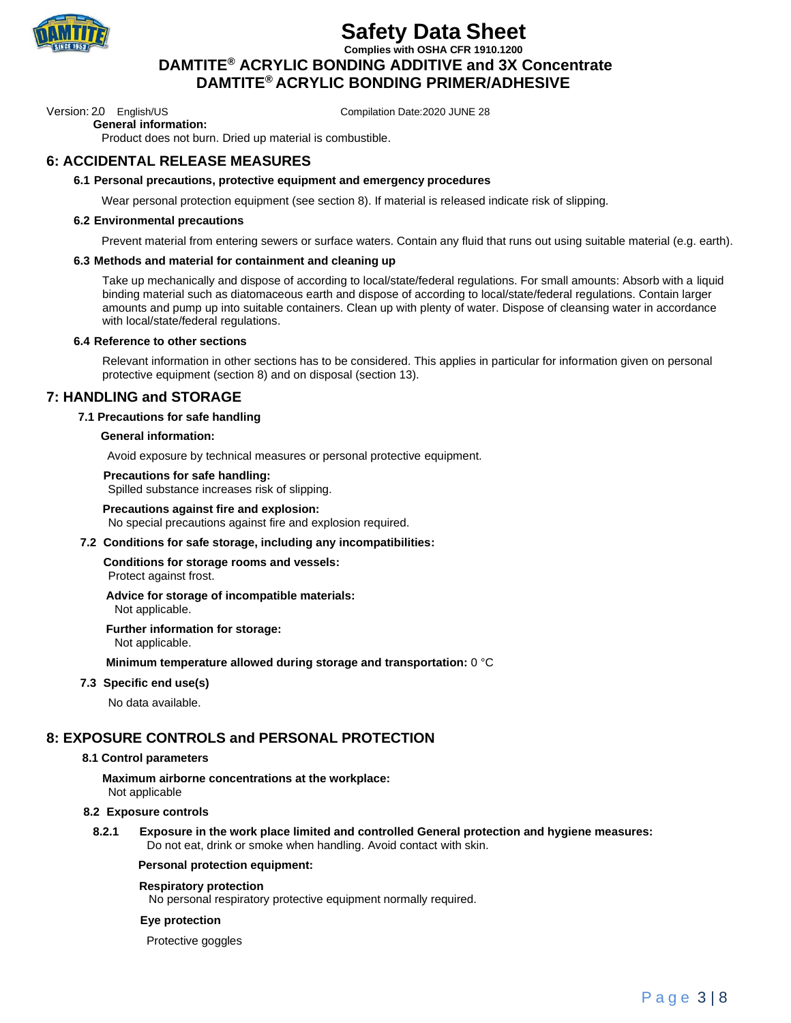

**Complies with OSHA CFR 1910.1200 DAMTITE® ACRYLIC BONDING ADDITIVE and 3X Concentrate DAMTITE® ACRYLIC BONDING PRIMER/ADHESIVE**

Version: 2.0 English/US Compilation Date:2020 JUNE 28

 **General information:**

Product does not burn. Dried up material is combustible.

# **6: ACCIDENTAL RELEASE MEASURES**

#### **6.1 Personal precautions, protective equipment and emergency procedures**

Wear personal protection equipment (see section 8). If material is released indicate risk of slipping.

#### **6.2 Environmental precautions**

Prevent material from entering sewers or surface waters. Contain any fluid that runs out using suitable material (e.g. earth).

#### **6.3 Methods and material for containment and cleaning up**

Take up mechanically and dispose of according to local/state/federal regulations. For small amounts: Absorb with a liquid binding material such as diatomaceous earth and dispose of according to local/state/federal regulations. Contain larger amounts and pump up into suitable containers. Clean up with plenty of water. Dispose of cleansing water in accordance with local/state/federal regulations.

#### **6.4 Reference to other sections**

Relevant information in other sections has to be considered. This applies in particular for information given on personal protective equipment (section 8) and on disposal (section 13).

### **7: HANDLING and STORAGE**

#### **7.1 Precautions for safe handling**

#### **General information:**

Avoid exposure by technical measures or personal protective equipment.

#### **Precautions for safe handling:**

Spilled substance increases risk of slipping.

#### **Precautions against fire and explosion:**

No special precautions against fire and explosion required.

#### **7.2 Conditions for safe storage, including any incompatibilities:**

**Conditions for storage rooms and vessels:** Protect against frost.

#### **Advice for storage of incompatible materials:**

Not applicable.

#### **Further information for storage:**

Not applicable.

#### **Minimum temperature allowed during storage and transportation:** 0 °C

#### **7.3 Specific end use(s)**

No data available.

# **8: EXPOSURE CONTROLS and PERSONAL PROTECTION**

### **8.1 Control parameters**

**Maximum airborne concentrations at the workplace:** Not applicable

### **8.2 Exposure controls**

**8.2.1 Exposure in the work place limited and controlled General protection and hygiene measures:** Do not eat, drink or smoke when handling. Avoid contact with skin.

### **Personal protection equipment:**

### **Respiratory protection**

No personal respiratory protective equipment normally required.

### **Eye protection**

Protective goggles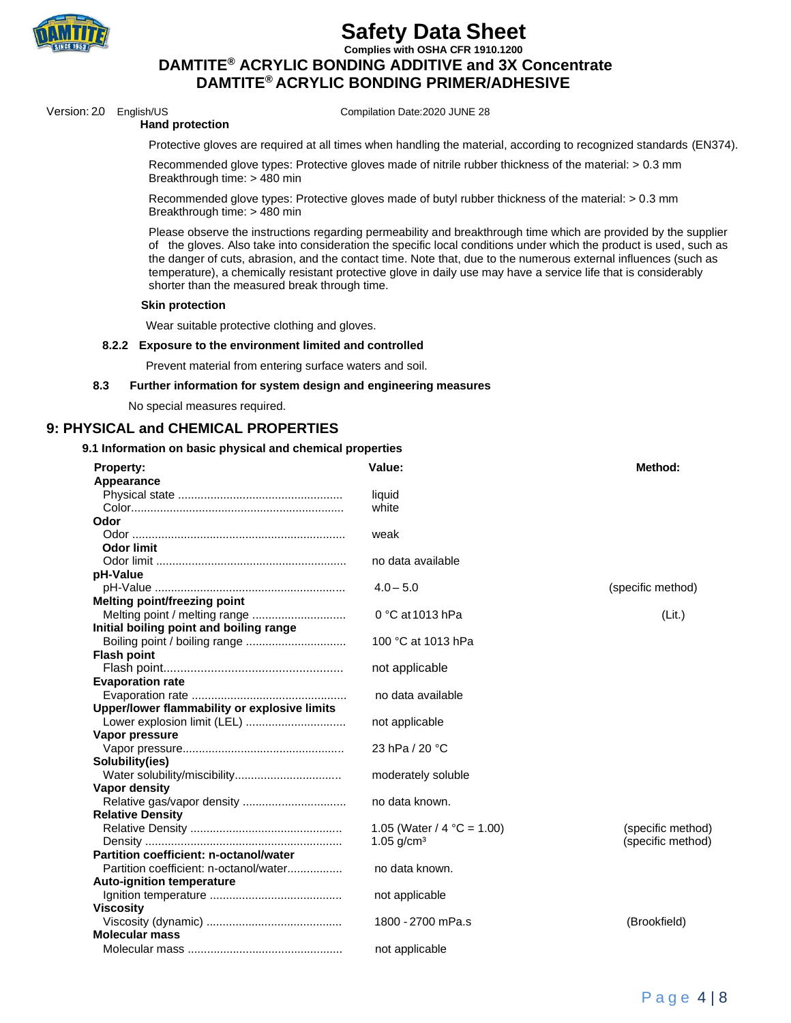

**Complies with OSHA CFR 1910.1200**

# **DAMTITE® ACRYLIC BONDING ADDITIVE and 3X Concentrate DAMTITE® ACRYLIC BONDING PRIMER/ADHESIVE**

Version: 2.0 English/US Compilation Date:2020 JUNE 28

#### **Hand protection**

Protective gloves are required at all times when handling the material, according to recognized standards (EN374).

 Recommended glove types: Protective gloves made of nitrile rubber thickness of the material: > 0.3 mm Breakthrough time: > 480 min

 Recommended glove types: Protective gloves made of butyl rubber thickness of the material: > 0.3 mm Breakthrough time: > 480 min

Please observe the instructions regarding permeability and breakthrough time which are provided by the supplier of the gloves. Also take into consideration the specific local conditions under which the product is used, such as the danger of cuts, abrasion, and the contact time. Note that, due to the numerous external influences (such as temperature), a chemically resistant protective glove in daily use may have a service life that is considerably shorter than the measured break through time.

#### **Skin protection**

Wear suitable protective clothing and gloves.

#### **8.2.2 Exposure to the environment limited and controlled**

Prevent material from entering surface waters and soil.

#### **8.3 Further information for system design and engineering measures**

No special measures required.

### **9: PHYSICAL and CHEMICAL PROPERTIES**

#### **9.1 Information on basic physical and chemical properties**

| <b>Property:</b>                             | Value:                        | Method:           |
|----------------------------------------------|-------------------------------|-------------------|
| Appearance                                   |                               |                   |
|                                              | liquid                        |                   |
|                                              | white                         |                   |
| Odor                                         |                               |                   |
|                                              | weak                          |                   |
| <b>Odor limit</b>                            |                               |                   |
|                                              | no data available             |                   |
| pH-Value                                     |                               |                   |
|                                              | $4.0 - 5.0$                   | (specific method) |
| <b>Melting point/freezing point</b>          |                               |                   |
|                                              | $0 °C$ at 1013 hPa            | (Lit.)            |
| Initial boiling point and boiling range      |                               |                   |
|                                              | 100 °C at 1013 hPa            |                   |
| <b>Flash point</b>                           |                               |                   |
|                                              | not applicable                |                   |
| <b>Evaporation rate</b>                      |                               |                   |
|                                              | no data available             |                   |
| Upper/lower flammability or explosive limits |                               |                   |
|                                              | not applicable                |                   |
| Vapor pressure                               |                               |                   |
|                                              | 23 hPa / 20 °C                |                   |
| Solubility(ies)                              |                               |                   |
|                                              | moderately soluble            |                   |
| <b>Vapor density</b>                         |                               |                   |
| Relative gas/vapor density                   | no data known.                |                   |
| <b>Relative Density</b>                      |                               |                   |
|                                              | 1.05 (Water / $4 °C = 1.00$ ) | (specific method) |
|                                              | 1.05 $g/cm3$                  | (specific method) |
| Partition coefficient: n-octanol/water       |                               |                   |
| Partition coefficient: n-octanol/water       | no data known.                |                   |
| <b>Auto-ignition temperature</b>             |                               |                   |
|                                              | not applicable                |                   |
| <b>Viscosity</b>                             |                               |                   |
|                                              | 1800 - 2700 mPa.s             | (Brookfield)      |
| <b>Molecular mass</b>                        |                               |                   |
|                                              | not applicable                |                   |
|                                              |                               |                   |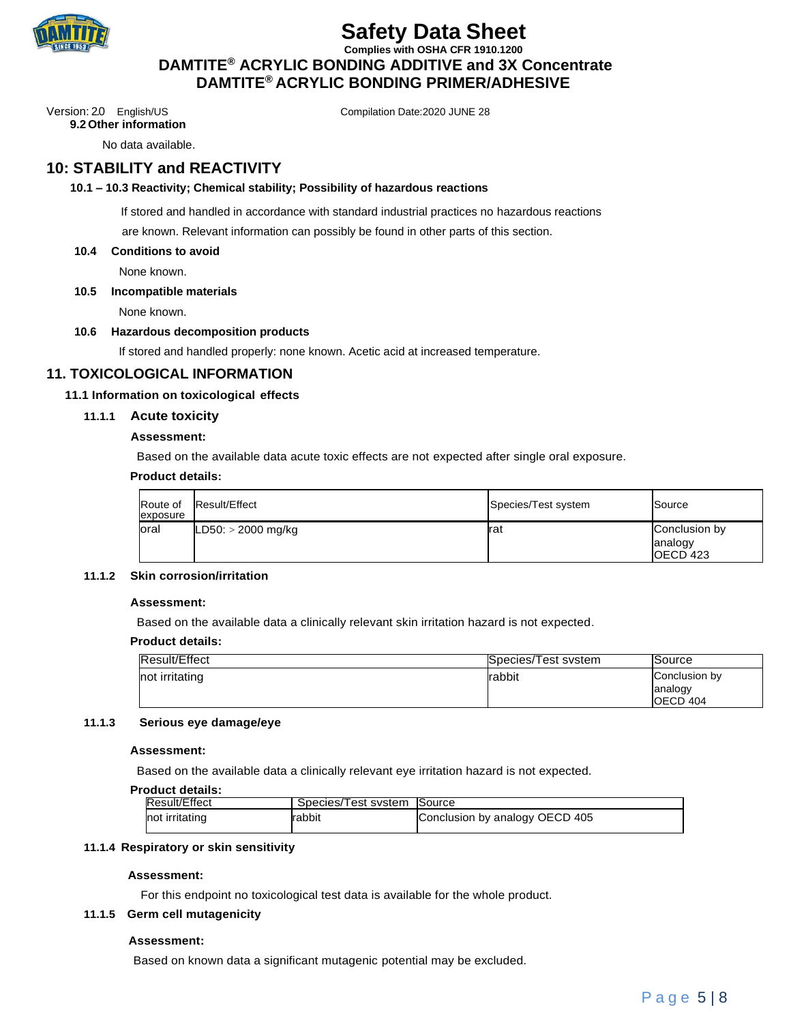

**Complies with OSHA CFR 1910.1200 DAMTITE® ACRYLIC BONDING ADDITIVE and 3X Concentrate DAMTITE® ACRYLIC BONDING PRIMER/ADHESIVE**

Version: 2.0 English/US Compilation Date:2020 JUNE 28

**9.2 Other information**

No data available.

# **10: STABILITY and REACTIVITY**

#### **10.1 – 10.3 Reactivity; Chemical stability; Possibility of hazardous reactions**

If stored and handled in accordance with standard industrial practices no hazardous reactions

are known. Relevant information can possibly be found in other parts of this section.

#### **10.4 Conditions to avoid**

None known.

#### **10.5 Incompatible materials**

None known.

#### **10.6 Hazardous decomposition products**

If stored and handled properly: none known. Acetic acid at increased temperature.

### **11. TOXICOLOGICAL INFORMATION**

#### **11.1 Information on toxicological effects**

#### **11.1.1 Acute toxicity**

#### **Assessment:**

Based on the available data acute toxic effects are not expected after single oral exposure.

#### **Product details:**

| Route of<br>exposure | Result/Effect        | Species/Test system | Source                                |
|----------------------|----------------------|---------------------|---------------------------------------|
| loral                | $LD50: > 2000$ mg/kg | Irat                | Conclusion by<br>analogy<br>IOECD 423 |

#### **11.1.2 Skin corrosion/irritation**

#### **Assessment:**

Based on the available data a clinically relevant skin irritation hazard is not expected.

#### **Product details:**

| <b>Result/Effect</b> | Species/Test system | Source                   |
|----------------------|---------------------|--------------------------|
| not irritating       | <b>rabbit</b>       | Conclusion by<br>analogy |
|                      |                     | <b>IOECD 404</b>         |

#### **11.1.3 Serious eye damage/eye**

#### **Assessment:**

Based on the available data a clinically relevant eye irritation hazard is not expected.

#### **Product details:**

| Result/Effect  | Species/Test system Source |                                |
|----------------|----------------------------|--------------------------------|
| not irritating | Irabbit                    | Conclusion by analogy OECD 405 |

### **11.1.4 Respiratory or skin sensitivity**

#### **Assessment:**

For this endpoint no toxicological test data is available for the whole product.

#### **11.1.5 Germ cell mutagenicity**

#### **Assessment:**

Based on known data a significant mutagenic potential may be excluded.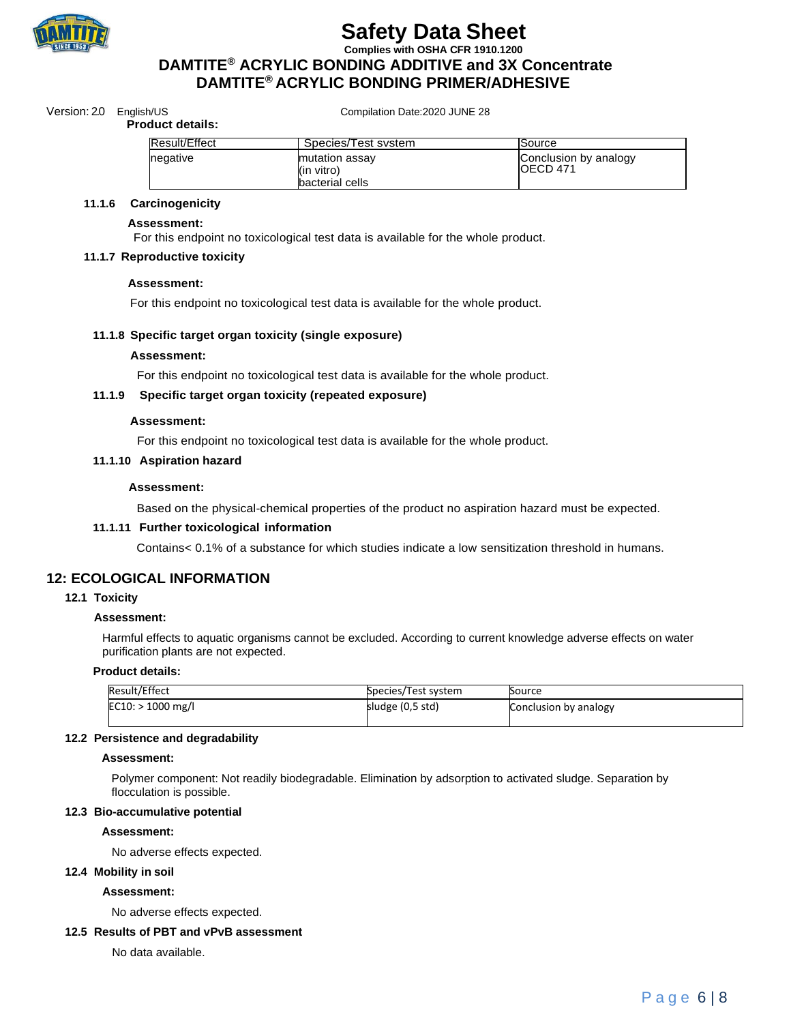

**Complies with OSHA CFR 1910.1200**

# **DAMTITE® ACRYLIC BONDING ADDITIVE and 3X Concentrate DAMTITE® ACRYLIC BONDING PRIMER/ADHESIVE**

Version: 2.0 English/US Compilation Date:2020 JUNE 28

#### **Product details:**

| Result/Effect | Species/Test system                             | <b>Source</b>                      |
|---------------|-------------------------------------------------|------------------------------------|
| negative      | mutation assay<br>(in vitro)<br>bacterial cells | Conclusion by analogy<br>IOECD 471 |

#### **11.1.6 Carcinogenicity**

#### **Assessment:**

For this endpoint no toxicological test data is available for the whole product.

#### **11.1.7 Reproductive toxicity**

#### **Assessment:**

For this endpoint no toxicological test data is available for the whole product.

#### **11.1.8 Specific target organ toxicity (single exposure)**

#### **Assessment:**

For this endpoint no toxicological test data is available for the whole product.

#### **11.1.9 Specific target organ toxicity (repeated exposure)**

#### **Assessment:**

For this endpoint no toxicological test data is available for the whole product.

#### **11.1.10 Aspiration hazard**

#### **Assessment:**

Based on the physical-chemical properties of the product no aspiration hazard must be expected.

#### **11.1.11 Further toxicological information**

Contains< 0.1% of a substance for which studies indicate a low sensitization threshold in humans.

### **12: ECOLOGICAL INFORMATION**

#### **12.1 Toxicity**

#### **Assessment:**

Harmful effects to aquatic organisms cannot be excluded. According to current knowledge adverse effects on water purification plants are not expected.

#### **Product details:**

| Result/Effect       | Species/Test system | Source                |
|---------------------|---------------------|-----------------------|
| $EC10:$ > 1000 mg/l | sludge (0,5 std)    | Conclusion by analogy |
|                     |                     |                       |

#### **12.2 Persistence and degradability**

#### **Assessment:**

Polymer component: Not readily biodegradable. Elimination by adsorption to activated sludge. Separation by flocculation is possible.

#### **12.3 Bio-accumulative potential**

#### **Assessment:**

No adverse effects expected.

### **12.4 Mobility in soil**

#### **Assessment:**

No adverse effects expected.

## **12.5 Results of PBT and vPvB assessment**

No data available.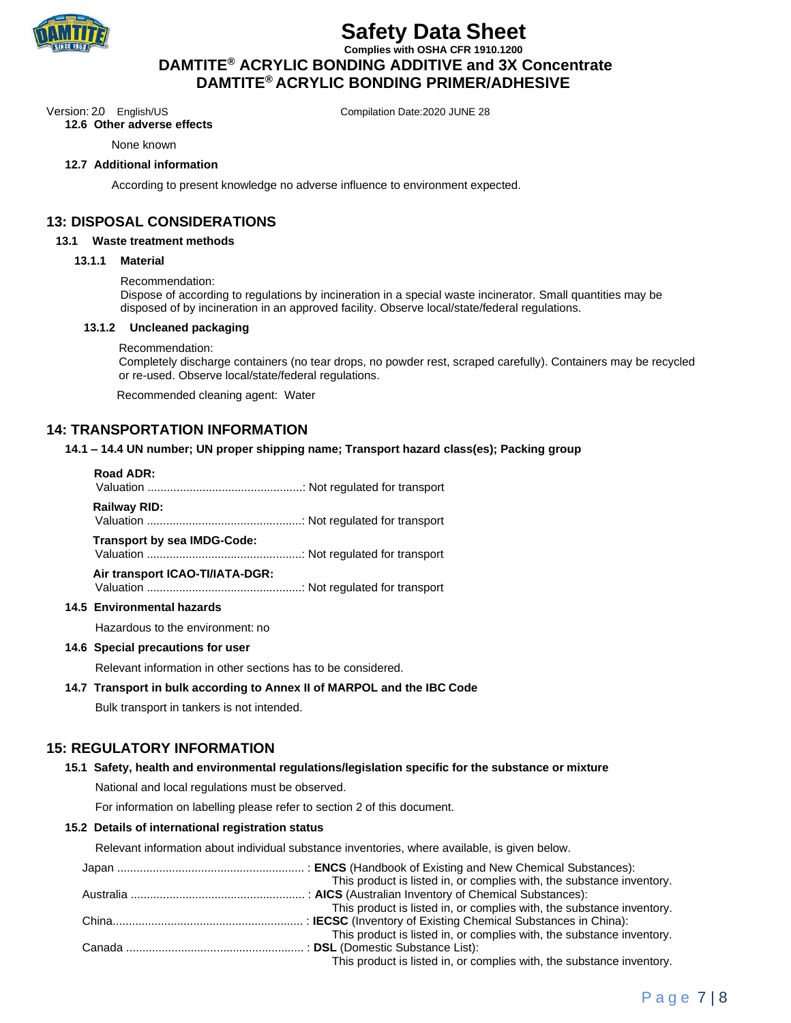

**Complies with OSHA CFR 1910.1200 DAMTITE® ACRYLIC BONDING ADDITIVE and 3X Concentrate DAMTITE® ACRYLIC BONDING PRIMER/ADHESIVE**

Version: 2.0 English/US Compilation Date:2020 JUNE 28

**12.6 Other adverse effects**

None known

#### **12.7 Additional information**

According to present knowledge no adverse influence to environment expected.

### **13: DISPOSAL CONSIDERATIONS**

#### **13.1 Waste treatment methods**

#### **13.1.1 Material**

#### Recommendation:

Dispose of according to regulations by incineration in a special waste incinerator. Small quantities may be disposed of by incineration in an approved facility. Observe local/state/federal regulations.

#### **13.1.2 Uncleaned packaging**

#### Recommendation:

Completely discharge containers (no tear drops, no powder rest, scraped carefully). Containers may be recycled or re-used. Observe local/state/federal regulations.

Recommended cleaning agent: Water

### **14: TRANSPORTATION INFORMATION**

#### **14.1 – 14.4 UN number; UN proper shipping name; Transport hazard class(es); Packing group**

#### **Road ADR:**

Valuation ................................................: Not regulated for transport

**Railway RID:**

Valuation ................................................: Not regulated for transport

#### **Transport by sea IMDG-Code:**

Valuation ................................................: Not regulated for transport

#### **Air transport ICAO-TI/IATA-DGR:**

Valuation ................................................: Not regulated for transport

#### **14.5 Environmental hazards**

Hazardous to the environment: no

#### **14.6 Special precautions for user**

Relevant information in other sections has to be considered.

#### **14.7 Transport in bulk according to Annex II of MARPOL and the IBC Code**

Bulk transport in tankers is not intended.

## **15: REGULATORY INFORMATION**

#### **15.1 Safety, health and environmental regulations/legislation specific for the substance or mixture**

National and local regulations must be observed.

For information on labelling please refer to section 2 of this document.

#### **15.2 Details of international registration status**

Relevant information about individual substance inventories, where available, is given below.

| This product is listed in, or complies with, the substance inventory. |
|-----------------------------------------------------------------------|
|                                                                       |
| This product is listed in, or complies with, the substance inventory. |
|                                                                       |
| This product is listed in, or complies with, the substance inventory. |
|                                                                       |
| This product is listed in, or complies with, the substance inventory. |